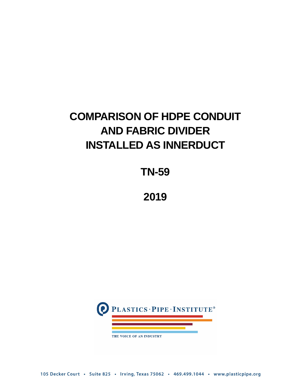# **COMPARISON OF HDPE CONDUIT AND FABRIC DIVIDER INSTALLED AS INNERDUCT**

**TN-59**

**2019**



105 Decker Court · Suite 825 · Irving, Texas 75062 · 469.499.1044 · www.plasticpipe.org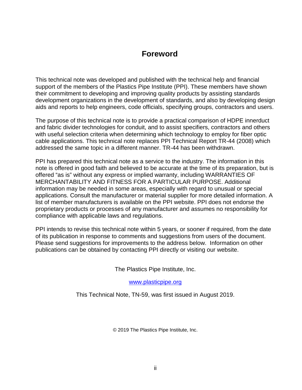# **Foreword**

This technical note was developed and published with the technical help and financial support of the members of the Plastics Pipe Institute (PPI). These members have shown their commitment to developing and improving quality products by assisting standards development organizations in the development of standards, and also by developing design aids and reports to help engineers, code officials, specifying groups, contractors and users.

The purpose of this technical note is to provide a practical comparison of HDPE innerduct and fabric divider technologies for conduit, and to assist specifiers, contractors and others with useful selection criteria when determining which technology to employ for fiber optic cable applications. This technical note replaces PPI Technical Report TR-44 (2008) which addressed the same topic in a different manner. TR-44 has been withdrawn.

PPI has prepared this technical note as a service to the industry. The information in this note is offered in good faith and believed to be accurate at the time of its preparation, but is offered "as is" without any express or implied warranty, including WARRANTIES OF MERCHANTABILITY AND FITNESS FOR A PARTICULAR PURPOSE. Additional information may be needed in some areas, especially with regard to unusual or special applications. Consult the manufacturer or material supplier for more detailed information. A list of member manufacturers is available on the PPI website. PPI does not endorse the proprietary products or processes of any manufacturer and assumes no responsibility for compliance with applicable laws and regulations.

PPI intends to revise this technical note within 5 years, or sooner if required, from the date of its publication in response to comments and suggestions from users of the document. Please send suggestions for improvements to the address below. Information on other publications can be obtained by contacting PPI directly or visiting our website.

The Plastics Pipe Institute, Inc.

[www.plasticpipe.org](https://www.plasticpipe.org/)

This Technical Note, TN-59, was first issued in August 2019.

© 2019 The Plastics Pipe Institute, Inc.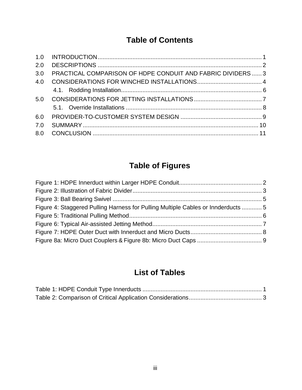# **Table of Contents**

| 2.0 |                                                             |  |
|-----|-------------------------------------------------------------|--|
| 3.0 | PRACTICAL COMPARISON OF HDPE CONDUIT AND FABRIC DIVIDERS  3 |  |
| 4.0 |                                                             |  |
|     |                                                             |  |
| 5.0 |                                                             |  |
|     |                                                             |  |
| 6.0 |                                                             |  |
| 7.0 |                                                             |  |
| 8.0 |                                                             |  |
|     |                                                             |  |

# **Table of Figures**

| Figure 4: Staggered Pulling Harness for Pulling Multiple Cables or Innderducts  5 |  |
|-----------------------------------------------------------------------------------|--|
|                                                                                   |  |
|                                                                                   |  |
|                                                                                   |  |
|                                                                                   |  |

# **List of Tables**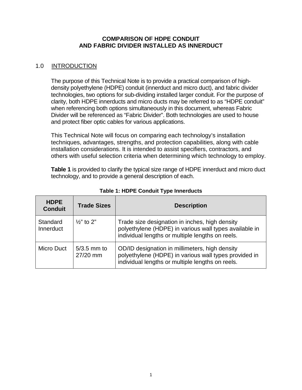### **COMPARISON OF HDPE CONDUIT AND FABRIC DIVIDER INSTALLED AS INNERDUCT**

# <span id="page-3-0"></span>1.0 INTRODUCTION

The purpose of this Technical Note is to provide a practical comparison of highdensity polyethylene (HDPE) conduit (innerduct and micro duct), and fabric divider technologies, two options for sub-dividing installed larger conduit. For the purpose of clarity, both HDPE innerducts and micro ducts may be referred to as "HDPE conduit" when referencing both options simultaneously in this document, whereas Fabric Divider will be referenced as "Fabric Divider". Both technologies are used to house and protect fiber optic cables for various applications.

This Technical Note will focus on comparing each technology's installation techniques, advantages, strengths, and protection capabilities, along with cable installation considerations. It is intended to assist specifiers, contractors, and others with useful selection criteria when determining which technology to employ.

**Table 1** is provided to clarify the typical size range of HDPE innerduct and micro duct technology, and to provide a general description of each.

<span id="page-3-1"></span>

| <b>HDPE</b><br><b>Conduit</b> | <b>Trade Sizes</b>        | <b>Description</b>                                                                                                                                           |
|-------------------------------|---------------------------|--------------------------------------------------------------------------------------------------------------------------------------------------------------|
| Standard<br>Innerduct         | $\frac{1}{2}$ " to 2"     | Trade size designation in inches, high density<br>polyethylene (HDPE) in various wall types available in<br>individual lengths or multiple lengths on reels. |
| <b>Micro Duct</b>             | $5/3.5$ mm to<br>27/20 mm | OD/ID designation in millimeters, high density<br>polyethylene (HDPE) in various wall types provided in<br>individual lengths or multiple lengths on reels.  |

**Table 1: HDPE Conduit Type Innerducts**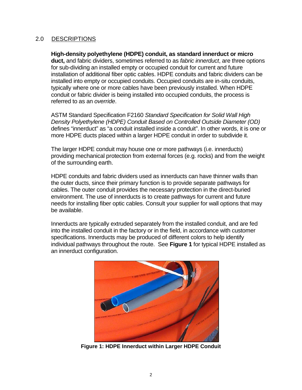# <span id="page-4-0"></span>2.0 DESCRIPTIONS

**High-density polyethylene (HDPE) conduit, as standard innerduct or micro duct,** and fabric dividers, sometimes referred to as *fabric innerduct*, are three options for sub-dividing an installed empty or occupied conduit for current and future installation of additional fiber optic cables. HDPE conduits and fabric dividers can be installed into empty or occupied conduits. Occupied conduits are in-situ conduits, typically where one or more cables have been previously installed. When HDPE conduit or fabric divider is being installed into occupied conduits, the process is referred to as an *override*.

ASTM Standard Specification F2160 *Standard Specification for Solid Wall High Density Polyethylene (HDPE) Conduit Based on Controlled Outside Diameter (OD)* defines "innerduct" as "a conduit installed inside a conduit". In other words, it is one or more HDPE ducts placed within a larger HDPE conduit in order to subdivide it.

The larger HDPE conduit may house one or more pathways (i.e. innerducts) providing mechanical protection from external forces (e.g. rocks) and from the weight of the surrounding earth.

HDPE conduits and fabric dividers used as innerducts can have thinner walls than the outer ducts, since their primary function is to provide separate pathways for cables. The outer conduit provides the necessary protection in the direct-buried environment. The use of innerducts is to create pathways for current and future needs for installing fiber optic cables. Consult your supplier for wall options that may be available.

Innerducts are typically extruded separately from the installed conduit, and are fed into the installed conduit in the factory or in the field, in accordance with customer specifications. Innerducts may be produced of different colors to help identify individual pathways throughout the route. See **Figure 1** for typical HDPE installed as an innerduct configuration.

<span id="page-4-1"></span>

**Figure 1: HDPE Innerduct within Larger HDPE Conduit**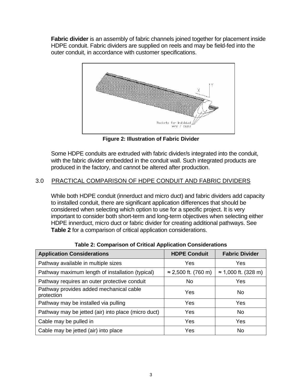**Fabric divider** is an assembly of fabric channels joined together for placement inside HDPE conduit. Fabric dividers are supplied on reels and may be field-fed into the outer conduit, in accordance with customer specifications.



**Figure 2: Illustration of Fabric Divider**

<span id="page-5-1"></span>Some HDPE conduits are extruded with fabric divider/s integrated into the conduit, with the fabric divider embedded in the conduit wall. Such integrated products are produced in the factory, and cannot be altered after production.

# <span id="page-5-0"></span>3.0 PRACTICAL COMPARISON OF HDPE CONDUIT AND FABRIC DIVIDERS

While both HDPE conduit (innerduct and micro duct) and fabric dividers add capacity to installed conduit, there are significant application differences that should be considered when selecting which option to use for a specific project. It is very important to consider both short-term and long-term objectives when selecting either HDPE innerduct, micro duct or fabric divider for creating additional pathways. See **Table 2** for a comparison of critical application considerations.

<span id="page-5-2"></span>

| <b>Application Considerations</b>                     | <b>HDPE Conduit</b>         | <b>Fabric Divider</b>       |
|-------------------------------------------------------|-----------------------------|-----------------------------|
| Pathway available in multiple sizes                   | Yes                         | Yes                         |
| Pathway maximum length of installation (typical)      | $\approx$ 2,500 ft. (760 m) | $\approx$ 1,000 ft. (328 m) |
| Pathway requires an outer protective conduit          | No                          | Yes                         |
| Pathway provides added mechanical cable<br>protection | Yes                         | No.                         |
| Pathway may be installed via pulling                  | Yes                         | Yes                         |
| Pathway may be jetted (air) into place (micro duct)   | Yes                         | No.                         |
| Cable may be pulled in                                | Yes                         | Yes                         |
| Cable may be jetted (air) into place                  | Yes                         | No                          |

**Table 2: Comparison of Critical Application Considerations**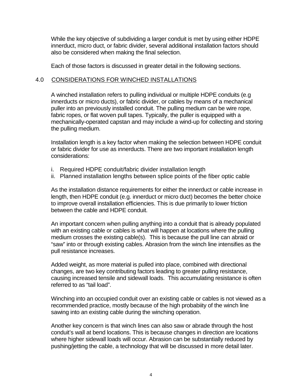While the key objective of subdividing a larger conduit is met by using either HDPE innerduct, micro duct, or fabric divider, several additional installation factors should also be considered when making the final selection.

Each of those factors is discussed in greater detail in the following sections.

# <span id="page-6-0"></span>4.0 CONSIDERATIONS FOR WINCHED INSTALLATIONS

A winched installation refers to pulling individual or multiple HDPE conduits (e.g innerducts or micro ducts), or fabric divider, or cables by means of a mechanical puller into an previously installed conduit. The pulling medium can be wire rope, fabric ropes, or flat woven pull tapes. Typically, the puller is equipped with a mechanically-operated capstan and may include a wind-up for collecting and storing the pulling medium.

Installation length is a key factor when making the selection between HDPE conduit or fabric divider for use as innerducts. There are two important installation length considerations:

- i. Required HDPE conduit/fabric divider installation length
- ii. Planned installation lengths between splice points of the fiber optic cable

As the installation distance requirements for either the innerduct or cable increase in length, then HDPE conduit (e.g. innerduct or micro duct) becomes the better choice to improve overall installation efficiencies. This is due primarily to lower friction between the cable and HDPE conduit.

An important concern when pulling anything into a conduit that is already populated with an existing cable or cables is what will happen at locations where the pulling medium crosses the existing cable(s). This is because the pull line can abraid or "saw" into or through existing cables. Abrasion from the winch line intensifies as the pull resistance increases.

Added weight, as more material is pulled into place, combined with directional changes, are two key contributing factors leading to greater pulling resistance, causing increased tensile and sidewall loads. This accumulating resistance is often referred to as "tail load".

Winching into an occupied conduit over an existing cable or cables is not viewed as a recommended practice, mostly because of the high probabiity of the winch line sawing into an existing cable during the winching operation.

Another key concern is that winch lines can also saw or abrade through the host conduit's wall at bend locations. This is because changes in direction are locations where higher sidewall loads will occur. Abrasion can be substantially reduced by pushing/jetting the cable, a technology that will be discussed in more detail later.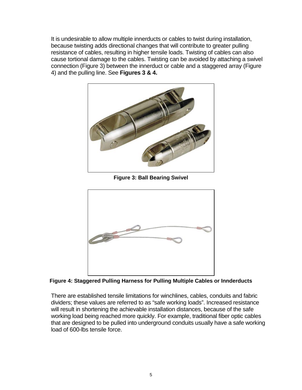It is undesirable to allow multiple innerducts or cables to twist during installation, because twisting adds directional changes that will contribute to greater pulling resistance of cables, resulting in higher tensile loads. Twisting of cables can also cause tortional damage to the cables. Twisting can be avoided by attaching a swivel connection (Figure 3) between the innerduct or cable and a staggered array (Figure 4) and the pulling line. See **Figures 3 & 4.**



**Figure 3: Ball Bearing Swivel**

<span id="page-7-0"></span>

<span id="page-7-1"></span>**Figure 4: Staggered Pulling Harness for Pulling Multiple Cables or Innderducts**

There are established tensile limitations for winchlines, cables, conduits and fabric dividers; these values are referred to as "safe working loads". Increased resistance will result in shortening the achievable installation distances, because of the safe working load being reached more quickly. For example, traditional fiber optic cables that are designed to be pulled into underground conduits usually have a safe working load of 600-lbs tensile force.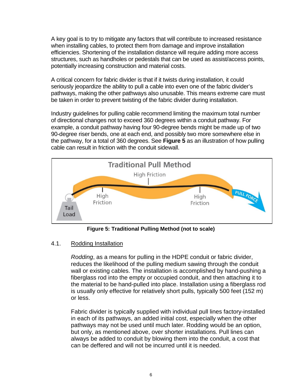A key goal is to try to mitigate any factors that will contribute to increased resistance when installing cables, to protect them from damage and improve installation efficiencies. Shortening of the installation distance will require adding more access structures, such as handholes or pedestals that can be used as assist/access points, potentially increasing construction and material costs.

A critical concern for fabric divider is that if it twists during installation, it could seriously jeopardize the ability to pull a cable into even one of the fabric divider's pathways, making the other pathways also unusable. This means extreme care must be taken in order to prevent twisting of the fabric divider during installation.

Industry guidelines for pulling cable recommend limiting the maximum total number of directional changes not to exceed 360 degrees within a conduit pathway. For example, a conduit pathway having four 90-degree bends might be made up of two 90-degree riser bends, one at each end, and possibly two more somewhere else in the pathway, for a total of 360 degrees. See **Figure 5** as an illustration of how pulling cable can result in friction with the conduit sidewall.



**Figure 5: Traditional Pulling Method (not to scale)**

### <span id="page-8-1"></span><span id="page-8-0"></span>4.1. Rodding Installation

*Rodding*, as a means for pulling in the HDPE conduit or fabric divider, reduces the likelihood of the pulling medium sawing through the conduit wall or existing cables. The installation is accomplished by hand-pushing a fiberglass rod into the empty or occupied conduit, and then attaching it to the material to be hand-pulled into place. Installation using a fiberglass rod is usually only effective for relatively short pulls, typically 500 feet (152 m) or less.

Fabric divider is typically supplied with individual pull lines factory-installed in each of its pathways, an added initial cost, especially when the other pathways may not be used until much later. Rodding would be an option, but only, as mentioned above, over shorter installations. Pull lines can always be added to conduit by blowing them into the conduit, a cost that can be deffered and will not be incurred until it is needed.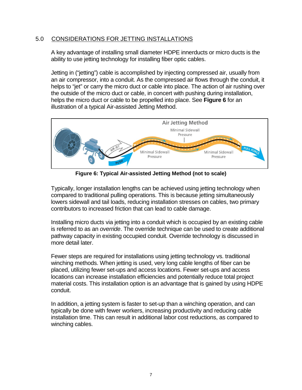# <span id="page-9-0"></span>5.0 CONSIDERATIONS FOR JETTING INSTALLATIONS

A key advantage of installing small diameter HDPE innerducts or micro ducts is the ability to use jetting technology for installing fiber optic cables.

Jetting in ("jetting") cable is accomplished by injecting compressed air, usually from an air compressor, into a conduit. As the compressed air flows through the conduit, it helps to "jet" or carry the micro duct or cable into place. The action of air rushing over the outside of the micro duct or cable, in concert with pushing during installation, helps the micro duct or cable to be propelled into place. See **Figure 6** for an illustration of a typical Air-assisted Jetting Method.



**Figure 6: Typical Air-assisted Jetting Method (not to scale)**

<span id="page-9-1"></span>Typically, longer installation lengths can be achieved using jetting technology when compared to traditional pulling operations. This is because jetting simultaneously lowers sidewall and tail loads, reducing installation stresses on cables, two primary contributors to increased friction that can lead to cable damage.

Installing micro ducts via jetting into a conduit which is occupied by an existing cable is referred to as an *override*. The override technique can be used to create additional pathway capacity in existing occupied conduit. Override technology is discussed in more detail later.

Fewer steps are required for installations using jetting technology vs. traditional winching methods. When jetting is used, very long cable lengths of fiber can be placed, utilizing fewer set-ups and access locations. Fewer set-ups and access locations can increase installation efficiencies and potentially reduce total project material costs. This installation option is an advantage that is gained by using HDPE conduit.

In addition, a jetting system is faster to set-up than a winching operation, and can typically be done with fewer workers, increasing productivity and reducing cable installation time. This can result in additional labor cost reductions, as compared to winching cables.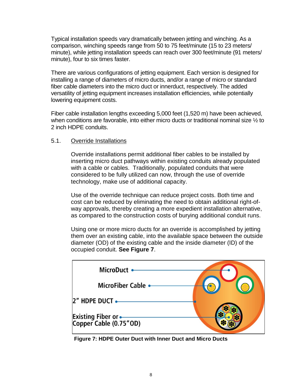Typical installation speeds vary dramatically between jetting and winching. As a comparison, winching speeds range from 50 to 75 feet/minute (15 to 23 meters/ minute), while jetting installation speeds can reach over 300 feet/minute (91 meters/ minute), four to six times faster.

There are various configurations of jetting equipment. Each version is designed for installing a range of diameters of micro ducts, and/or a range of micro or standard fiber cable diameters into the micro duct or innerduct, respectively. The added versatility of jetting equipment increases installation efficiencies, while potentially lowering equipment costs.

Fiber cable installation lengths exceeding 5,000 feet (1,520 m) have been achieved, when conditions are favorable, into either micro ducts or traditional nominal size  $\frac{1}{2}$  to 2 inch HDPE conduits.

### <span id="page-10-0"></span>5.1. Override Installations

Override installations permit additional fiber cables to be installed by inserting micro duct pathways within existing conduits already populated with a cable or cables. Traditionally, populated conduits that were considered to be fully utilized can now, through the use of override technology, make use of additional capacity.

Use of the override technique can reduce project costs. Both time and cost can be reduced by eliminating the need to obtain additional right-ofway approvals, thereby creating a more expedient installation alternative, as compared to the construction costs of burying additional conduit runs.

Using one or more micro ducts for an override is accomplished by jetting them over an existing cable, into the available space between the outside diameter (OD) of the existing cable and the inside diameter (ID) of the occupied conduit. **See Figure 7**.



<span id="page-10-1"></span>**Figure 7: HDPE Outer Duct with Inner Duct and Micro Ducts**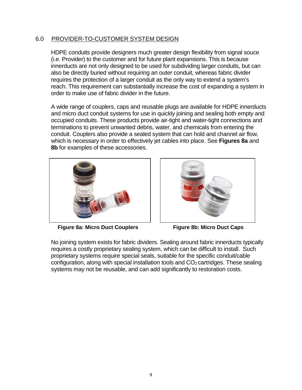## <span id="page-11-0"></span>6.0 PROVIDER-TO-CUSTOMER SYSTEM DESIGN

HDPE conduits provide designers much greater design flexibility from signal souce (i.e. Provider) to the customer and for future plant expansions. This is because innerducts are not only designed to be used for subdividing larger conduits, but can also be directly buried without requiring an outer conduit, whereas fabric divider requires the protection of a larger conduit as the only way to extend a system's reach. This requirement can substantially increase the cost of expanding a system in order to make use of fabric divider in the future.

A wide range of couplers, caps and reusable plugs are available for HDPE innerducts and micro duct conduit systems for use in quickly joining and sealing both empty and occupied conduits. These products provide air-tight and water-tight connections and terminations to prevent unwanted debris, water, and chemicals from entering the conduit. Couplers also provide a sealed system that can hold and channel air flow, which is necessary in order to effectively jet cables into place. See **Figures 8a** and **8b** for examples of these accessories.





**Figure 8a: Micro Duct Couplers Figure 8b: Micro Duct Caps**

<span id="page-11-1"></span>No joining system exists for fabric dividers. Sealing around fabric innerducts typically requires a costly proprietary sealing system, which can be difficult to install. Such proprietary systems require special seals, suitable for the specific conduit/cable configuration, along with special installation tools and CO<sub>2</sub> cartridges. These sealing systems may not be reusable, and can add significantly to restoration costs.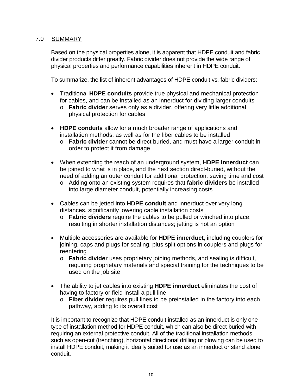# <span id="page-12-0"></span>7.0 SUMMARY

Based on the physical properties alone, it is apparent that HDPE conduit and fabric divider products differ greatly. Fabric divider does not provide the wide range of physical properties and performance capabilities inherent in HDPE conduit.

To summarize, the list of inherent advantages of HDPE conduit vs. fabric dividers:

- Traditional **HDPE conduits** provide true physical and mechanical protection for cables, and can be installed as an innerduct for dividing larger conduits
	- o **Fabric divider** serves only as a divider, offering very little additional physical protection for cables
- **HDPE conduits** allow for a much broader range of applications and installation methods, as well as for the fiber cables to be installed
	- o **Fabric divider** cannot be direct buried, and must have a larger conduit in order to protect it from damage
- When extending the reach of an underground system, **HDPE innerduct** can be joined to what is in place, and the next section direct-buried, without the need of adding an outer conduit for additional protection, saving time and cost
	- o Adding onto an existing system requires that **fabric dividers** be installed into large diameter conduit, potentially increasing costs
- Cables can be jetted into **HDPE conduit** and innerduct over very long distances, significantly lowering cable installation costs
	- o **Fabric dividers** require the cables to be pulled or winched into place, resulting in shorter installation distances; jetting is not an option
- Multiple accessories are available for **HDPE innerduct**, including couplers for joining, caps and plugs for sealing, plus split options in couplers and plugs for reentering
	- o **Fabric divider** uses proprietary joining methods, and sealing is difficult, requiring proprietary materials and special training for the techniques to be used on the job site
- The ability to jet cables into existing **HDPE innerduct** eliminates the cost of having to factory or field install a pull line
	- o **Fiber divider** requires pull lines to be preinstalled in the factory into each pathway, adding to its overall cost

It is important to recognize that HDPE conduit installed as an innerduct is only one type of installation method for HDPE conduit, which can also be direct-buried with requiring an external protective conduit. All of the traditional installation methods, such as open-cut (trenching), horizontal directional drilling or plowing can be used to install HDPE conduit, making it ideally suited for use as an innerduct or stand alone conduit.